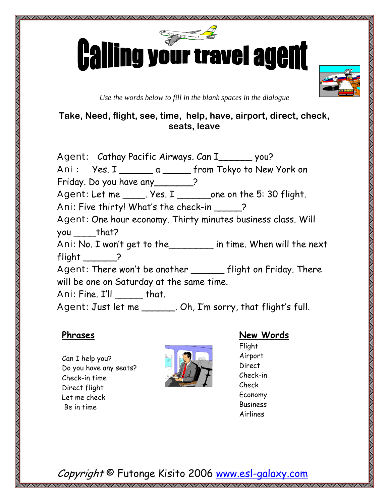

*Use the words below to fill in the blank spaces in the dialogue* 

### **Take, Need, flight, see, time, help, have, airport, direct, check, seats, leave**

Agent: Cathay Pacific Airways. Can I\_\_\_\_\_\_\_ you? Ani : Yes. I \_\_\_\_\_\_\_ a \_\_\_\_\_ from Tokyo to New York on Friday. Do you have any\_\_\_\_\_\_\_? Agent: Let me \_\_\_\_\_. Yes. I \_\_\_\_\_\_\_one on the 5: 30 flight. Ani: Five thirty! What's the check-in ? Agent: One hour economy. Thirty minutes business class. Will you \_\_\_\_\_that? Ani: No. I won't get to the\_\_\_\_\_\_\_\_ in time. When will the next flight  $\qquad \qquad$  ? Agent: There won't be another \_\_\_\_\_\_ flight on Friday. There will be one on Saturday at the same time. Ani: Fine. I'll \_\_\_\_\_ that. Agent: Just let me \_\_\_\_\_\_\_. Oh, I'm sorry, that flight's full.

#### **Phrases**

www.componential.com/www.com/www.com/www.com/www.com/www.com/www.com/www.com/www.com/www.com/www.com/www.com/w

Can I help you? Do you have any seats? Check-in time Direct flight Let me check Be in time



## **New Words**

Flight Airport Direct Check-in Check Economy Business Airlines

Copyright © Futonge Kisito 2006 www.esl-galaxy.com